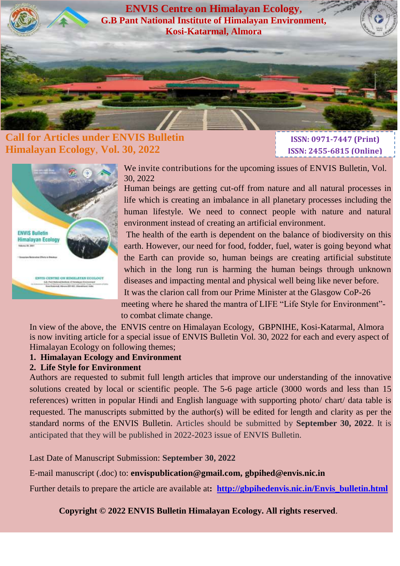

**ENVIS Centre on Himalayan Ecology ENVIS Centre on Himalayan Ecology,** G.B. Pant National Institute of Himalayan Environment, **G.B Pant National Institute of Himalayan Environment, Kosi-Katarmal, Almora** 

## **Call for Articles under ENVIS Bulletin Himalayan Ecology**, **Vol. 30, 2022**

**ISSN: 0971-7447 (Print) ISSN: 2455-6815 (Online)**



We invite contributions for the upcoming issues of ENVIS Bulletin, Vol. 30, 2022

Human beings are getting cut-off from nature and all natural processes in life which is creating an imbalance in all planetary processes including the human lifestyle. We need to connect people with nature and natural environment instead of creating an artificial environment.

The health of the earth is dependent on the balance of biodiversity on this earth. However, our need for food, fodder, fuel, water is going beyond what the Earth can provide so, human beings are creating artificial substitute which in the long run is harming the human beings through unknown diseases and impacting mental and physical well being like never before. It was the clarion call from our Prime Minister at the Glasgow CoP-26 meeting where he shared the mantra of LIFE "Life Style for Environment" to combat climate change.

In view of the above, the ENVIS centre on Himalayan Ecology, GBPNIHE, Kosi-Katarmal, Almora is now inviting article for a special issue of ENVIS Bulletin Vol. 30, 2022 for each and every aspect of Himalayan Ecology on following themes;

## **1. Himalayan Ecology and Environment**

## **2. Life Style for Environment**

Authors are requested to submit full length articles that improve our understanding of the innovative solutions created by local or scientific people. The 5-6 page article (3000 words and less than 15 references) written in popular Hindi and English language with supporting photo/ chart/ data table is requested. The manuscripts submitted by the author(s) will be edited for length and clarity as per the standard norms of the ENVIS Bulletin. Articles should be submitted by **September 30, 2022**. It is anticipated that they will be published in 2022-2023 issue of ENVIS Bulletin.

Last Date of Manuscript Submission: **September 30, 2022**

E-mail manuscript (.doc) to: **envispublication@gmail.com, gbpihed@envis.nic.in**

Further details to prepare the article are available at**: [http://gbpihedenvis.nic.in/Envis\\_bulletin.html](http://gbpihedenvis.nic.in/Envis_bulletin.html)**

**Copyright © 2022 ENVIS Bulletin Himalayan Ecology. All rights reserved**.